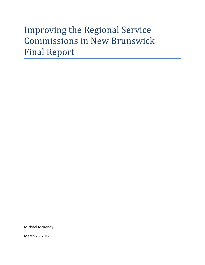# Improving the Regional Service Commissions in New Brunswick Final Report

Michael McKendy

March 28, 2017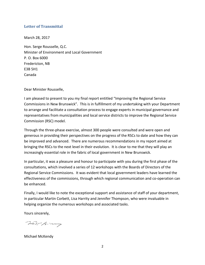## <span id="page-1-0"></span>**Letter of Transmittal**

March 28, 2017

Hon. Serge Rousselle, Q.C. Minister of Environment and Local Government P. O. Box 6000 Fredericton, NB E3B 5H1 Canada

Dear Minister Rousselle,

I am pleased to present to you my final report entitled "Improving the Regional Service Commissions in New Brunswick". This is in fulfillment of my undertaking with your Department to arrange and facilitate a consultation process to engage experts in municipal governance and representatives from municipalities and local service districts to improve the Regional Service Commission (RSC) model.

Through the three-phase exercise, almost 300 people were consulted and were open and generous in providing their perspectives on the progress of the RSCs to date and how they can be improved and advanced. There are numerous recommendations in my report aimed at bringing the RSCs to the next level in their evolution. It is clear to me that they will play an increasingly essential role in the fabric of local government in New Brunswick.

In particular, it was a pleasure and honour to participate with you during the first phase of the consultations, which involved a series of 12 workshops with the Boards of Directors of the Regional Service Commissions. It was evident that local government leaders have learned the effectiveness of the commissions, through which regional communication and co-operation can be enhanced.

Finally, I would like to note the exceptional support and assistance of staff of your department, in particular Martin Corbett, Lisa Harrity and Jennifer Thompson, who were invaluable in helping organize the numerous workshops and associated tasks.

Yours sincerely,

marchen

Michael McKendy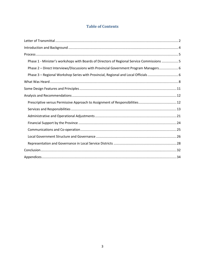# **Table of Contents**

| Phase 1 - Minister's workshops with Boards of Directors of Regional Service Commissions 5 |
|-------------------------------------------------------------------------------------------|
| Phase 2 - Direct Interviews/Discussions with Provincial Government Program Managers 6     |
|                                                                                           |
|                                                                                           |
|                                                                                           |
|                                                                                           |
|                                                                                           |
|                                                                                           |
|                                                                                           |
|                                                                                           |
|                                                                                           |
|                                                                                           |
|                                                                                           |
|                                                                                           |
|                                                                                           |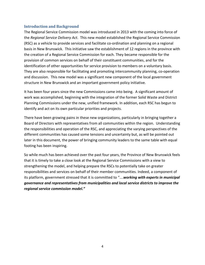#### <span id="page-3-0"></span>**Introduction and Background**

The Regional Service Commission model was introduced in 2013 with the coming into force of the *Regional Service Delivery Act.* This new model established the Regional Service Commission (RSC) as a vehicle to provide services and facilitate co-ordination and planning on a regional basis in New Brunswick. This initiative saw the establishment of 12 regions in the province with the creation of a Regional Service Commission for each. They became responsible for the provision of common services on behalf of their constituent communities, and for the identification of other opportunities for service provision to members on a voluntary basis. They are also responsible for facilitating and promoting intercommunity planning, co-operation and discussion. This new model was a significant new component of the local government structure in New Brunswick and an important government policy initiative.

It has been four years since the new Commissions came into being. A significant amount of work was accomplished, beginning with the integration of the former Solid Waste and District Planning Commissions under the new, unified framework. In addition, each RSC has begun to identify and act on its own particular priorities and projects.

There have been growing pains in these new organizations, particularly in bringing together a Board of Directors with representatives from all communities within the region. Understanding the responsibilities and operation of the RSC, and appreciating the varying perspectives of the different communities has caused some tensions and uncertainty but, as will be pointed out later in this document, the power of bringing community leaders to the same table with equal footing has been inspiring.

So while much has been achieved over the past four years, the Province of New Brunswick feels that it is timely to take a close look at the Regional Service Commissions with a view to strengthening the model, and helping prepare the RSCs to potentially take on greater responsibilities and services on behalf of their member communities. Indeed, a component of its platform, government stressed that it is committed to "….*working with experts in municipal governance and representatives from municipalities and local service districts to improve the regional service commission model."*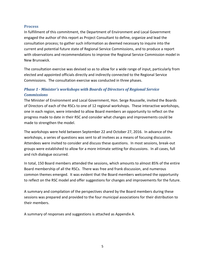#### <span id="page-4-0"></span>**Process**

In fulfillment of this commitment, the Department of Environment and Local Government engaged the author of this report as Project Consultant to define, organize and lead the consultation process; to gather such information as deemed necessary to inquire into the current and potential future state of Regional Service Commissions, and to produce a report with observations and recommendations to improve the Regional Service Commission model in New Brunswick.

The consultation exercise was devised so as to allow for a wide range of input, particularly from elected and appointed officials directly and indirectly connected to the Regional Service Commissions. The consultation exercise was conducted in three phases.

# <span id="page-4-1"></span>*Phase 1 - Minister's workshops with Boards of Directors of Regional Service Commissions*

The Minister of Environment and Local Government, Hon. Serge Rousselle, invited the Boards of Directors of each of the RSCs to one of 12 regional workshops. These interactive workshops, one in each region, were intended to allow Board members an opportunity to reflect on the progress made to date in their RSC and consider what changes and improvements could be made to strengthen the model.

The workshops were held between September 22 and October 27, 2016. In advance of the workshops, a series of questions was sent to all invitees as a means of focusing discussion. Attendees were invited to consider and discuss these questions. In most sessions, break-out groups were established to allow for a more intimate setting for discussions. In all cases, full and rich dialogue occurred.

In total, 150 Board members attended the sessions, which amounts to almost 85% of the entire Board membership of all the RSCs. There was free and frank discussion, and numerous common themes emerged. It was evident that the Board members welcomed the opportunity to reflect on the RSC model and offer suggestions for changes and improvements for the future.

A summary and compilation of the perspectives shared by the Board members during these sessions was prepared and provided to the four municipal associations for their distribution to their members.

A summary of responses and suggestions is attached as Appendix A.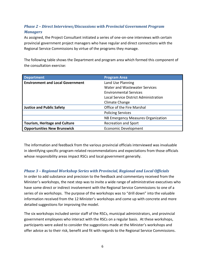# <span id="page-5-0"></span>*Phase 2 – Direct Interviews/Discussions with Provincial Government Program Managers*

As assigned, the Project Consultant initiated a series of one-on-one interviews with certain provincial government project managers who have regular and direct connections with the Regional Service Commissions by virtue of the programs they manage.

The following table shows the Department and program area which formed this component of the consultation exercise:

| <b>Department</b>                       | <b>Program Area</b>                   |
|-----------------------------------------|---------------------------------------|
| <b>Environment and Local Government</b> | Land Use Planning                     |
|                                         | Water and Wastewater Services         |
|                                         | <b>Environmental Services</b>         |
|                                         | Local Service District Administration |
|                                         | Climate Change                        |
| <b>Justice and Public Safety</b>        | Office of the Fire Marshal            |
|                                         | <b>Policing Services</b>              |
|                                         | NB Emergency Measures Organization    |
| <b>Tourism, Heritage and Culture</b>    | <b>Recreation and Sport</b>           |
| <b>Opportunities New Brunswick</b>      | <b>Economic Development</b>           |

The information and feedback from the various provincial officials interviewed was invaluable in identifying specific program-related recommendations and expectations from those officials whose responsibility areas impact RSCs and local government generally.

# <span id="page-5-1"></span>*Phase 3 – Regional Workshop Series with Provincial, Regional and Local Officials*

In order to add substance and precision to the feedback and commentary received from the Minister's workshops, the next step was to invite a wide range of administrative executives who have some direct or indirect involvement with the Regional Service Commissions to one of a series of six workshops. The purpose of the workshops was to "drill down" into the valuable information received from the 12 Minister's workshops and come up with concrete and more detailed suggestions for improving the model.

The six workshops included senior staff of the RSCs, municipal administrators, and provincial government employees who interact with the RSCs on a regular basis. At these workshops, participants were asked to consider the suggestions made at the Minister's workshops and offer advice as to their risk, benefit and fit with regards to the Regional Service Commissions.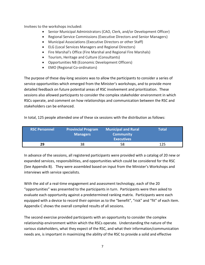Invitees to the workshops included:

- Senior Municipal Administrators (CAO, Clerk, and/or Development Officer)
- Regional Service Commissions (Executive Directors and Senior Managers)
- Municipal Associations (Executive Directors or other Staff)
- ELG (Local Services Managers and Regional Directors)
- Fire Marshal's Office (Fire Marshal and Regional Fire Marshals)
- Tourism, Heritage and Culture (Consultants)
- Opportunities NB (Economic Development Officers)
- EMO (Regional Co-ordinators)

The purpose of these day-long sessions was to allow the participants to consider a series of service opportunities which emerged from the Minister's workshops, and to provide more detailed feedback on future potential areas of RSC involvement and prioritization. These sessions also allowed participants to consider the complex stakeholder environment in which RSCs operate, and comment on how relationships and communication between the RSC and stakeholders can be enhanced.

In total, 125 people attended one of these six sessions with the distribution as follows:

| <b>RSC Personnel</b> | <b>Provincial Program</b><br><b>Managers</b> | <b>Municipal and Rural</b><br><b>Community</b><br><b>Executives</b> | Total |
|----------------------|----------------------------------------------|---------------------------------------------------------------------|-------|
| 29                   | 38                                           | 58                                                                  | 125   |

In advance of the sessions, all registered participants were provided with a catalog of 20 new or expanded services, responsibilities, and opportunities which could be considered for the RSC (See Appendix B). They were assembled based on input from the Minister's Workshops and interviews with service specialists.

With the aid of a real-time engagement and assessment technology, each of the 20 "opportunities" was presented to the participants in turn. Participants were then asked to evaluate each opportunity against a predetermined ranking matrix. Participants were each equipped with a device to record their opinion as to the "benefit", "risk" and "fit" of each item. Appendix C shows the overall compiled results of all sessions.

The second exercise provided participants with an opportunity to consider the complex relationship environment within which the RSCs operate. Understanding the nature of the various stakeholders, what they expect of the RSC, and what their information/communication needs are, is important in maximizing the ability of the RSC to provide a solid and effective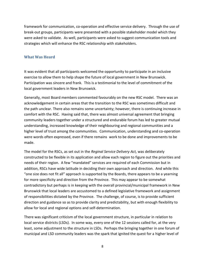framework for communication, co-operation and effective service delivery. Through the use of break-out groups, participants were presented with a possible stakeholder model which they were asked to validate. As well, participants were asked to suggest communication tools and strategies which will enhance the RSC relationship with stakeholders.

## <span id="page-7-0"></span>**What Was Heard**

It was evident that all participants welcomed the opportunity to participate in an inclusive exercise to allow them to help shape the future of local government in New Brunswick. Participation was sincere and frank. This is a testimonial to the level of commitment of the local government leaders in New Brunswick.

Generally, most Board members commented favourably on the new RSC model. There was an acknowledgement in certain areas that the transition to the RSC was sometimes difficult and the path unclear. There also remains some uncertainty; however, there is continuing increase in comfort with the RSC. Having said that, there was almost universal agreement that bringing community leaders together under a structured and endurable forum has led to greater mutual understanding, increased knowledge of their neighbouring and regional communities and a higher level of trust among the communities. Communication, understanding and co-operation were words often expressed, even if there remains work to be done and improvements to be made.

The model for the RSCs, as set out in the *Reginal Service Delivery Act,* was deliberately constructed to be flexible in its application and allow each region to figure out the priorities and needs of their region. A few "mandated" services are required of each Commission but in addition, RSCs have wide latitude in deciding their own approach and direction. And while this "one size does not fit all" approach is supported by the Boards, there appears to be a yearning for more specificity and direction from the Province. This may appear to be somewhat contradictory but perhaps is in keeping with the overall provincial/municipal framework in New Brunswick that local leaders are accustomed to a defined legislative framework and assignment of responsibilities dictated by the Province. The challenge, of course, is to provide sufficient direction and guidance so as to provide clarity and predictability, but with enough flexibility to allow for local and regional options and self-determination.

There was significant criticism of the local government structure, in particular in relation to local service districts (LSDs). In some way, every one of the 12 sessions called for, at the very least, some adjustment to the structure in LSDs. Perhaps the bringing together in one forum of municipal and LSD community leaders was the spark that ignited the quest for a higher level of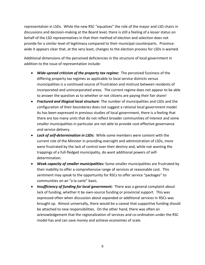representation in LSDs. While the new RSC "equalizes" the role of the mayor and LSD chairs in discussions and decision-making at the Board level, there is still a feeling of a lesser status on behalf of the LSD representatives in that their method of election and selection does not provide for a similar level of legitimacy compared to their municipal counterparts. Provincewide it appears clear that, at the very least, changes to the election process for LSDs is wanted.

Additional dimensions of the perceived deficiencies in the structure of local government in addition to the issue of representation include:

- *Wide-spread criticism of the property tax regime:* The perceived fuzziness of the differing property tax regimes as applicable to local service districts versus municipalities is a continued source of frustration and mistrust between residents of incorporated and unincorporated areas. The current regime does not appear to be able to answer the question as to whether or not citizens are paying their fair share!
- *Fractured and illogical local structure*: The number of municipalities and LSDs and the configuration of their boundaries does not suggest a rational local government model. As has been expressed in previous studies of local government, there is a feeling that there are too many units that do not reflect broader communities of interest and some smaller municipalities in particular are not able to provide cost-effective governance and service delivery.
- *Lack of self-determination in LSDs:* While some members were content with the current role of the Minister in providing oversight and administration of LSDs, more were frustrated by the lack of control over their destiny and, while not wanting the trappings of a full-fledged municipality, do want additional powers of selfdetermination.
- *Weak capacity of smaller municipalities:* Some smaller municipalities are frustrated by their inability to offer a comprehensive range of services at reasonable cost. This sentiment may speak to the opportunity for RSCs to offer service "packages" to communities on an "a la carte" basis.
- *Insufficiency of funding for local government:* There was a general complaint about lack of funding, whether it be own-source funding or provincial support. This was expressed often when discussion about expanded or additional services in RSCs was brought up. Almost universally, there would be a caveat that supportive funding should be attached to new responsibilities. On the other hand, there was often an acknowledgement that the regionalization of services and co-ordination under the RSC model has and can save money and achieve economies of scale.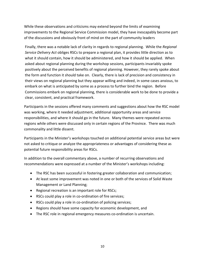While these observations and criticisms may extend beyond the limits of examining improvements to the Regional Service Commission model, they have inescapably become part of the discussions and obviously front of mind on the part of community leaders

Finally, there was a notable lack of clarity in regards to regional planning. While the *Regional Service Delivery Act* obliges RSCs to prepare a regional plan, it provides little direction as to what it should contain, how it should be administered, and how it should be applied. When asked about regional planning during the workshop sessions, participants invariably spoke positively about the perceived benefits of regional planning. However, they rarely spoke about the form and function it should take on. Clearly, there is lack of precision and consistency in their views on regional planning but they appear willing and indeed, in some cases anxious, to embark on what is anticipated by some as a process to further bind the region. Before Commissions embark on regional planning, there is considerable work to be done to provide a clear, consistent, and practical framework.

Participants in the sessions offered many comments and suggestions about how the RSC model was working, where it needed adjustment, additional opportunity areas and service responsibilities, and where it should go in the future. Many themes were repeated across regions while others were discussed only in certain regions of the Province. There was much commonality and little dissent.

Participants in the Minister's workshops touched on additional potential service areas but were not asked to critique or analyze the appropriateness or advantages of considering these as potential future responsibility areas for RSCs.

In addition to the overall commentary above, a number of recurring observations and recommendations were expressed at a number of the Minister's workshops including:

- The RSC has been successful in fostering greater collaboration and communication;
- At least some improvement was noted in one or both of the services of Solid Waste Management or Land Planning;
- Regional recreation is an important role for RSCs;
- RSCs could play a role in co-ordination of fire services;
- RSCs could play a role in co-ordination of policing services;
- Regions should have some capacity for economic development, and
- The RSC role in regional emergency measures co-ordination is uncertain.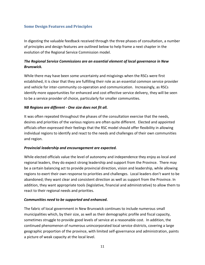# <span id="page-10-0"></span>**Some Design Features and Principles**

In digesting the valuable feedback received through the three phases of consultation, a number of principles and design features are outlined below to help frame a next chapter in the evolution of the Regional Service Commission model.

# *The Regional Service Commissions are an essential element of local governance in New Brunswick.*

While there may have been some uncertainty and misgivings when the RSCs were first established, it is clear that they are fulfilling their role as an essential common service provider and vehicle for inter-community co-operation and communication. Increasingly, as RSCs identify more opportunities for enhanced and cost effective service delivery, they will be seen to be a service provider of choice, particularly for smaller communities.

#### *NB Regions are different - One size does not fit all.*

It was often repeated throughout the phases of the consultation exercise that the needs, desires and priorities of the various regions are often quite different. Elected and appointed officials often expressed their feelings that the RSC model should offer flexibility in allowing individual regions to identify and react to the needs and challenges of their own communities and region.

#### *Provincial leadership and encouragement are expected.*

While elected officials value the level of autonomy and independence they enjoy as local and regional leaders, they do expect strong leadership and support from the Province. There may be a certain balancing act to provide provincial direction, vision and leadership, while allowing regions to exert their own response to priorities and challenges. Local leaders don't want to be abandoned; they want clear and consistent direction as well as support from the Province. In addition, they want appropriate tools (legislative, financial and administrative) to allow them to react to their regional needs and priorities.

#### *Communities need to be supported and enhanced.*

The fabric of local government in New Brunswick continues to include numerous small municipalities which, by their size, as well as their demographic profile and fiscal capacity, sometimes struggle to provide good levels of service at a reasonable cost. In addition, the continued phenomenon of numerous unincorporated local service districts, covering a large geographic proportion of the province, with limited self-governance and administration, paints a picture of weak capacity at the local level.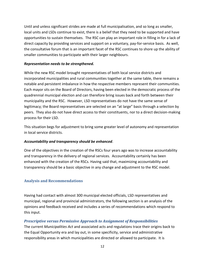Until and unless significant strides are made at full municipalisation, and so long as smaller, local units and LSDs continue to exist, there is a belief that they need to be supported and have opportunities to sustain themselves. The RSC can play an important role in filling in for a lack of direct capacity by providing services and support on a voluntary, pay-for-service basis. As well, the consultative forum that is an important facet of the RSC continues to shore up the ability of smaller communities to participate with their larger neighbours.

## *Representation needs to be strengthened.*

While the new RSC model brought representatives of both local service districts and incorporated municipalities and rural communities together at the same table, there remains a notable and persistent imbalance in how the respective members represent their communities. Each mayor sits on the Board of Directors, having been elected in the democratic process of the quadrennial municipal election and can therefore bring issues back and forth between their municipality and the RSC. However, LSD representatives do not have the same sense of legitimacy; the Board representatives are selected on an "at large" basis through a selection by peers. They also do not have direct access to their constituents, nor to a direct decision-making process for their LSD.

This situation begs for adjustment to bring some greater level of autonomy and representation in local service districts.

## *Accountability and transparency should be enhanced*.

One of the objectives in the creation of the RSCs four years ago was to increase accountability and transparency in the delivery of regional services. Accountability certainly has been enhanced with the creation of the RSCs. Having said that, maximizing accountability and transparency should be a basic objective in any change and adjustment to the RSC model.

## <span id="page-11-0"></span>**Analysis and Recommendations**

Having had contact with almost 300 municipal elected officials, LSD representatives and municipal, regional and provincial administrators, the following section is an analysis of the opinions and feedback received and includes a series of recommendations which respond to this input.

## <span id="page-11-1"></span>*Prescriptive versus Permissive Approach to Assignment of Responsibilities*

The current *Municipalities Act* and associated acts and regulations trace their origins back to the Equal Opportunity era and lay out, in some specificity, service and administrative responsibility areas in which municipalities are directed or allowed to participate. It is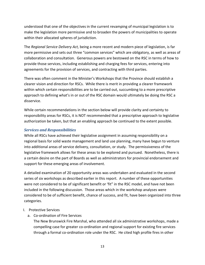understood that one of the objectives in the current revamping of municipal legislation is to make the legislation more permissive and to broaden the powers of municipalities to operate within their allocated spheres of jurisdiction.

The *Regional Service Delivery Act,* being a more recent and modern piece of legislation, is far more permissive and sets out three "common services" which are obligatory, as well as areas of collaboration and consultation. Generous powers are bestowed on the RSC in terms of how to provide those services, including establishing and charging fees for services, entering into agreements for the provision of services, and contracting with third parties.

There was often comment in the Minister's Workshops that the Province should establish a clearer vision and direction for RSCs. While there is merit in providing a clearer framework within which certain responsibilities are to be carried out, succumbing to a more prescriptive approach to defining what's in or out of the RSC domain would ultimately be doing the RSC a disservice.

While certain recommendations in the section below will provide clarity and certainty to responsibility areas for RSCs, it is NOT recommended that a prescriptive approach to legislative authorization be taken, but that an enabling approach be continued to the extent possible.

# <span id="page-12-0"></span>*Services and Responsibilities*

While all RSCs have achieved their legislative assignment in assuming responsibility on a regional basis for solid waste management and land use planning, many have begun to venture into additional areas of service delivery, consultation, or study. The permissiveness of the legislative framework allows for these areas to be explored and pursued. Nonetheless, there is a certain desire on the part of Boards as well as administrators for provincial endorsement and support for these emerging areas of involvement.

A detailed examination of 20 opportunity areas was undertaken and evaluated in the second series of six workshops as described earlier in this report. A number of these opportunities were not considered to be of significant benefit or 'fit" in the RSC model, and have not been included in the following discussion. Those areas which in the workshop analyses were considered to be of sufficient benefit, chance of success, and fit, have been organized into three categories.

## I. Protective Services

a. Co-ordination of Fire Services

The New Brunswick Fire Marshal, who attended all six administrative workshops, made a compelling case for greater co-ordination and regional support for existing fire services through a formal co-ordination role under the RSC. He cited high profile fires in other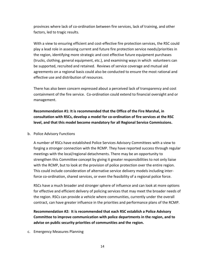provinces where lack of co-ordination between fire services, lack of training, and other factors, led to tragic results.

With a view to ensuring efficient and cost-effective fire protection services, the RSC could play a lead role in assessing current and future fire protection service needs/priorities in the region, identifying more strategic and cost effective future equipment purchases (trucks, clothing, general equipment, etc.), and examining ways in which volunteers can be supported, recruited and retained. Reviews of service coverage and mutual aid agreements on a regional basis could also be conducted to ensure the most rational and effective use and distribution of resources.

There has also been concern expressed about a perceived lack of transparency and cost containment of the fire service. Co-ordination could extend to financial oversight and or management.

**Recommendation #1: It is recommended that the Office of the Fire Marshal, in consultation with RSCs, develop a model for co-ordination of fire services at the RSC level, and that this model become mandatory for all Regional Service Commissions.**

#### b. Police Advisory Functions

A number of RSCs have established Police Services Advisory Committees with a view to forging a stronger connection with the RCMP. They have reported success through regular meetings with the local/regional detachments. There may be an opportunity to strengthen this Committee concept by giving it greater responsibilities to not only liaise with the RCMP, but to look at the provision of police protection over the entire region. This could include consideration of alternative service delivery models including interforce co-ordination, shared services, or even the feasibility of a regional police force.

RSCs have a much broader and stronger sphere of influence and can look at more options for effective and efficient delivery of policing services that may meet the broader needs of the region. RSCs can provide a vehicle where communities, currently under the overall contract, can have greater influence in the priorities and performance plans of the RCMP.

**Recommendation #2: It is recommended that each RSC establish a Police Advisory Committee to improve communication with police departments in the region, and to advise on public security priorities of communities and the region.**

c. Emergency Measures Planning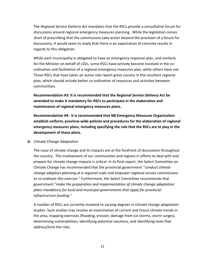The *Regional Service Delivery Act* mandates that the RSCs provide a consultative forum for discussions around regional emergency measures planning. While the legislation comes short of prescribing that the commissions take action beyond the provision of a forum for discussions, it would seem to imply that there is an expectation of concrete results in regards to this obligation.

While each municipality is obligated to have an emergency response plan, and similarly for the Minister on behalf of LSDs, some RSCs have actively become involved in the coordination and facilitation of a regional emergency measures plan, while others have not. Those RSCs that have taken an active role report great success in the resultant regional plan, which should include better co-ordination of resources and activities between communities.

**Recommendation #3: It is recommended that the** *Regional Service Delivery Act* **be amended to make it mandatory for RSCs to participate in the elaboration and maintenance of regional emergency measures plans.**

**Recommendation #4: It is recommended that NB Emergency Measures Organization establish uniform, province-wide policies and procedures for the elaboration of regional emergency measures plans, including specifying the role that the RSCs are to play in the development of those plans.**

**d.** Climate Change Adaptation

The issue of climate change and its impacts are at the forefront of discussions throughout the country. The involvement of our communities and regions in efforts to deal with and prepare for climate change impacts is critical. In its final report, the Select Committee on Climate Change has recommended that the provincial government "*conduct climate change adaption planning at a regional scale and empower regional service commissions to co-ordinate this exercise.*" Furthermore, the Select Committee recommends that government "*make the preparation and implementation of climate change adaptation plans mandatory for local and municipal governments that apply for provincial infrastructure funding*."

A number of RSCs are currently involved to varying degrees in climate change adaptation studies. Such studies may involve an examination of current and future climate trends in the area, mapping exercises (flooding, erosion, damage from ice storms, storm surges), determining vulnerabilities, identifying potential solutions, and identifying tools that address/limit the risks.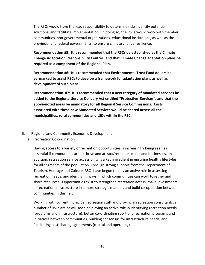The RSCs would have the lead responsibility to determine risks, identify potential solutions, and facilitate implementation. In doing so, the RSCs would work with member communities, non-governmental organizations, educational institutions, as well as the provincial and federal governments, to ensure climate change resilience.

**Recommendation #5: It is recommended that the RSCs be established as the Climate Change Adaptation Responsibility Centres, and that Climate Change adaptation plans be required as a component of the Regional Plan.**

**Recommendation #6: It is recommended that Environmental Trust Fund dollars be earmarked to assist RSCs to develop a framework for adaptation plans as well as development of such plans.**

**Recommendation #7: It is recommended that a new category of mandated services be added to the Regional Service Delivery Act entitled "Protective Services", and that the above-noted areas be mandatory for all Regional Service Commissions. Costs associated with these new Mandated Services would be shared across all the municipalities, rural communities and LSDs within the RSC.**

#### II. Regional and Community Economic Development

a. Recreation Co-ordination

Having access to a variety of recreation opportunities is increasingly being seen as essential if communities are to thrive and attract/retain residents and businesses. In addition, recreation service accessibility is a key ingredient in ensuring healthy lifestyles for all segments of the population. Through strong support from the Department of Tourism, Heritage and Culture, RSCs have begun to play an active role in assessing recreation needs, and identifying ways in which communities can work together and share resources. Opportunities exist to strengthen recreation access, make investments in recreation infrastructure in a more strategic manner, and build co-operation between communities in this field.

Working with current municipal recreation staff and provincial recreation consultants, a number of RSCs are or will soon be playing an active role in identifying recreation needs (programs and infrastructure), better co-ordinating sport and recreation programs and initiatives between communities, building consensus for infrastructure needs, and facilitating cost-sharing agreements (capital and operating).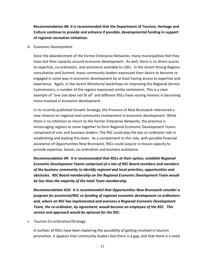**Recommendation #8: It is recommended that the Department of Tourism, Heritage and Culture continue to provide and enhance if possible, developmental funding in support of regional recreation initiatives.**

b. Economic Development

Since the abandonment of the former Enterprise Networks, many municipalities feel they have lost their capacity around economic development. As well, there is no direct access to expertise, co-ordination, and assistance available to LSDs. In the recent Strong Regions consultation and Summit, many community leaders expressed their desire to become reengaged in some way in economic development by at least having access to expertise and experience. Again, in the recent Ministerial workshops on improving the Regional Service Commissions, a number of the regions expressed similar sentiments. This is a clear example of "one size does not fit all" and different RSCs have varying interest in becoming more involved in economic development.

In its recently published Growth Strategy, the Province of New Brunswick referenced a new reliance on regional and community involvement in economic development. While there is no intention to return to the former Enterprise Networks, the province is encouraging regions to come together to form Regional Economic Development Teams comprised of civic and business leaders. The RSC could play the key co-ordinator role in establishing and leading this team. As a complement to this role, with possible financial assistance of Opportunities New Brunswick, RSCs could acquire in-house capacity to provide expertise, liaison, co-ordination and business assistance.

*Recommendation #9: It is recommended that RSCs at their option, establish Regional Economic Development Teams comprised of a mix of RSC Board members and members of the business community to identify regional and local priorities, opportunities and obstacles. RSC Board membership on the Regional Economic Development Team would be less than the majority of the total Team membership.*

*Recommendation #10: It is recommended that Opportunities New Brunswick consider a program for provincial/RSC co-funding of regional economic development co-ordinators and, where an RSC has implemented and oversees a Regional Economic Development Team, the co-ordinator, by agreement, would become an employee of the RSC. This service and approach would be optional for the RSC.*

c. Tourism Co-ordination/Strategy

A number of RSCs have been exploring the possibility of getting involved in tourism promotion. It appears that community leaders feel there is a gap, and that there is a need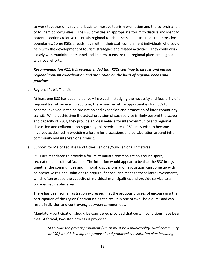to work together on a regional basis to improve tourism promotion and the co-ordination of tourism opportunities. The RSC provides an appropriate forum to discuss and identify potential actions relative to certain regional tourist assets and attractions that cross local boundaries. Some RSCs already have within their staff complement individuals who could help with the development of tourism strategies and related activities. They could work closely with municipal personnel and leaders to ensure that regional plans are aligned with local efforts.

# *Recommendation #11: It is recommended that RSCs continue to discuss and pursue regional tourism co-ordination and promotion on the basis of regional needs and priorities.*

d. Regional Public Transit

At least one RSC has become actively involved in studying the necessity and feasibility of a regional transit service. In addition, there may be future opportunities for RSCs to become involved in the co-ordination and expansion and promotion of inter-community transit. While at this time the actual provision of such service is likely beyond the scope and capacity of RSCs, they provide an ideal vehicle for inter-community and regional discussion and collaboration regarding this service area. RSCs may wish to become involved as desired in providing a forum for discussions and collaboration around intracommunity and inter-regional transit.

e. Support for Major Facilities and Other Regional/Sub-Regional Initiatives

RSCs are mandated to provide a forum to initiate common action around sport, recreation and cultural facilities. The intention would appear to be that the RSC brings together the communities and, through discussions and negotiation, can come up with co-operative regional solutions to acquire, finance, and manage these large investments, which often exceed the capacity of individual municipalities and provide service to a broader geographic area.

There has been some frustration expressed that the arduous process of encouraging the participation of the regions' communities can result in one or two "hold outs" and can result in division and controversy between communities.

Mandatory participation should be considered provided that certain conditions have been met. A formal, two-step process is proposed:

**Step one**: *the project proponent (which must be a municipality, rural community or LSD) would develop the proposal and proposed consultation plan including*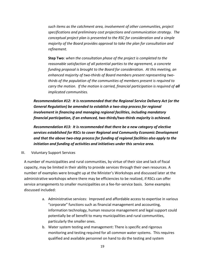*such items as the catchment area, involvement of other communities, project specifications and preliminary cost projections and communication strategy. The conceptual project plan is presented to the RSC for consideration and a simple majority of the Board provides approval to take the plan for consultation and refinement.*

**Step Two**: *when the consultation phase of the project is completed to the reasonable satisfaction of all potential parties to the agreement, a concrete funding proposal is brought to the Board for consideration. At this meeting, an enhanced majority of two-thirds of Board members present representing twothirds of the population of the communities of members present is required to*  carry the motion. If the motion is carried, financial participation is required of **all** *implicated communities.*

*Recommendation #12: It is recommended that the Regional Service Delivery Act (or the General Regulation) be amended to establish a two-step process for regional involvement in financing and managing regional facilities, including mandatory financial participation, if an enhanced, two-thirds/two-thirds majority is achieved.* 

*Recommendation #13: It is recommended that there be a new category of elective services established for RSCs to cover Regional and Community Economic Development and that the above two-step process for funding of regional facilities also apply to the initiation and funding of activities and initiatives under this service area.* 

III. Voluntary Support Services

A number of municipalities and rural communities, by virtue of their size and lack of fiscal capacity, may be limited in their ability to provide services through their own resources. A number of examples were brought up at the Minister's Workshops and discussed later at the administrative workshops where there may be efficiencies to be realized, if RSCs can offer service arrangements to smaller municipalities on a fee-for-service basis. Some examples discussed included:

- a. Administrative services: Improved and affordable access to expertise in various "corporate" functions such as financial management and accounting, information technology, human resource management and legal support could potentially be of benefit to many municipalities and rural communities, particularly the smaller ones.
- b. Water system testing and management: There is specific and rigorous monitoring and testing required for all common water systems. This requires qualified and available personnel on hand to do the testing and system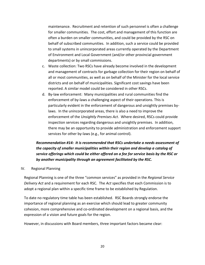maintenance. Recruitment and retention of such personnel is often a challenge for smaller communities. The cost, effort and management of this function are often a burden on smaller communities, and could be provided by the RSC on behalf of subscribed communities. In addition, such a service could be provided to small systems in unincorporated areas currently operated by the Department of Environment and Local Government (and/or other provincial government departments) or by small commissions.

- c. Waste collection: Two RSCs have already become involved in the development and management of contracts for garbage collection for their region on behalf of all or most communities, as well as on behalf of the Minister for the local service districts and on behalf of municipalities. Significant cost savings have been reported. A similar model could be considered in other RSCs.
- d. By-law enforcement: Many municipalities and rural communities find the enforcement of by-laws a challenging aspect of their operations. This is particularly evident in the enforcement of dangerous and unsightly premises bylaws. In the unincorporated areas, there is also a need to improve the enforcement of the *Unsightly Premises Act*. Where desired, RSCs could provide inspection services regarding dangerous and unsightly premises. In addition, there may be an opportunity to provide administration and enforcement support services for other by-laws (e.g., for animal control).

# *Recommendation #14: It is recommended that RSCs undertake a needs assessment of the capacity of smaller municipalities within their region and develop a catalog of service offerings which could be either offered on a fee for service basis by the RSC or by another municipality through an agreement facilitated by the RSC.*

#### IV. Regional Planning

Regional Planning is one of the three "common services" as provided in the *Regional Service Delivery Act* and a requirement for each RSC. The *Act* specifies that each Commission is to adopt a regional plan within a specific time frame to be established by Regulation.

To date no regulatory time table has been established. RSC Boards strongly endorse the importance of regional planning as an exercise which should lead to greater community cohesion, more comprehensive and co-ordinated development on a regional basis, and the expression of a vision and future goals for the region.

However, in discussions with Board members, three important factors became clear: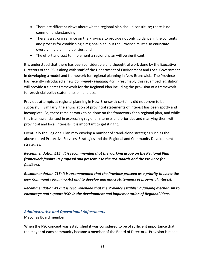- There are different views about what a regional plan should constitute; there is no common understanding;
- There is a strong reliance on the Province to provide not only guidance in the contents and process for establishing a regional plan, but the Province must also enunciate overarching planning policies, and
- The effort and cost to implement a regional plan will be significant.

It is understood that there has been considerable and thoughtful work done by the Executive Directors of the RSCs along with staff of the Department of Environment and Local Government in developing a model and framework for regional planning in New Brunswick. The Province has recently introduced a new *Community Planning Act*. Presumably this revamped legislation will provide a clearer framework for the Regional Plan including the provision of a framework for provincial policy statements on land use.

Previous attempts at regional planning in New Brunswick certainly did not prove to be successful. Similarly, the enunciation of provincial statements of interest has been spotty and incomplete. So, there remains work to be done on the framework for a regional plan, and while this is an essential tool in expressing regional interests and priorities and marrying them with provincial and local interests, it is important to get it right.

Eventually the Regional Plan may envelop a number of stand-alone strategies such as the above-noted Protective Services Strategies and the Regional and Community Development strategies.

*Recommendation #15: It is recommended that the working group on the Regional Plan framework finalize its proposal and present it to the RSC Boards and the Province for feedback.*

*Recommendation #16: It is recommended that the Province proceed as a priority to enact the new Community Planning Act and to develop and enact statements of provincial interest.*

*Recommendation #17: It is recommended that the Province establish a funding mechanism to encourage and support RSCs in the development and implementation of Regional Plans.*

# <span id="page-20-0"></span>*Administrative and Operational Adjustments*

Mayor as Board member

When the RSC concept was established it was considered to be of sufficient importance that the mayor of each community became a member of the Board of Directors. Provision is made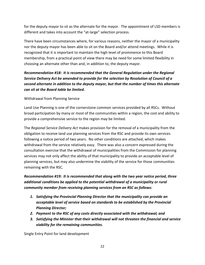for the deputy mayor to sit as the alternate for the mayor. The appointment of LSD members is different and takes into account the "at-large" selection process.

There have been circumstances where, for various reasons, neither the mayor of a municipality nor the deputy mayor has been able to sit on the Board and/or attend meetings. While it is recognized that it is important to maintain the high level of prominence to this Board membership, from a practical point of view there may be need for some limited flexibility in choosing an alternate other than and, in addition to, the deputy mayor.

# *Recommendation #18: It is recommended that the General Regulation under the Regional Service Delivery Act be amended to provide for the selection by Resolution of Council of a second alternate in addition to the deputy mayor, but that the number of times this alternate can sit at the Board table be limited.*

# Withdrawal from Planning Service

Land Use Planning is one of the cornerstone common services provided by all RSCs. Without broad participation by many or most of the communities within a region, the cost and ability to provide a comprehensive service to the region may be limited.

The *Regional Service Delivery Act* makes provision for the removal of a municipality from the obligation to receive land use planning services from the RSC and provide its own services following a notice period of two years. No other conditions are attached, which makes withdrawal from the service relatively easy. There was also a concern expressed during the consultation exercise that the withdrawal of municipalities from the Commission for planning services may not only affect the ability of that municipality to provide an acceptable level of planning services, but may also undermine the viability of the service for those communities remaining with the RSC.

*Recommendation #19: It is recommended that along with the two year notice period, three additional conditions be applied to the potential withdrawal of a municipality or rural community member from receiving planning services from an RSC as follows:*

- *1. Satisfying the Provincial Planning Director that the municipality can provide an acceptable level of service based on standards to be established by the Provincial Planning Director;*
- *2. Payment to the RSC of any costs directly associated with the withdrawal; and*
- *3. Satisfying the Minister that their withdrawal will not threaten the financial and service viability for the remaining communities.*

Single Entry Point for land development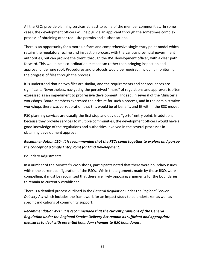All the RSCs provide planning services at least to some of the member communities. In some cases, the development officers will help guide an applicant through the sometimes complex process of obtaining other requisite permits and authorizations.

There is an opportunity for a more uniform and comprehensive single entry point model which retains the regulatory regime and inspection process with the various provincial government authorities, but can provide the client, through the RSC development officer, with a clear path forward. This would be a co-ordination mechanism rather than bringing inspection and approval under one roof. Procedures and protocols would be required, including monitoring the progress of files through the process.

It is understood that no two files are similar, and the requirements and consequences are significant. Nevertheless, navigating the perceived "maze" of regulations and approvals is often expressed as an impediment to progressive development. Indeed, in several of the Minister's workshops, Board members expressed their desire for such a process, and in the administrative workshops there was corroboration that this would be of benefit, and fit within the RSC model.

RSC planning services are usually the first stop and obvious "go-to" entry point. In addition, because they provide services to multiple communities, the development officers would have a good knowledge of the regulations and authorities involved in the several processes in obtaining development approval.

# *Recommendation #20: It is recommended that the RSCs come together to explore and pursue the concept of a Single Entry Point for Land Development.*

## Boundary Adjustments

In a number of the Minister's Workshops, participants noted that there were boundary issues within the current configuration of the RSCs. While the arguments made by those RSCs were compelling, it must be recognized that there are likely opposing arguments for the boundaries to remain as currently established.

There is a detailed process outlined in the *General Regulation* under the *Regional Service Delivery Act* which includes the framework for an impact study to be undertaken as well as specific indications of community support.

*Recommendation #21: It is recommended that the current provisions of the General Regulation under the Regional Service Delivery Act remain as sufficient and appropriate measures to deal with potential boundary changes to RSC boundaries.*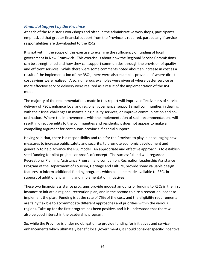# <span id="page-23-0"></span>*Financial Support by the Province*

At each of the Minister's workshops and often in the administrative workshops, participants emphasized that greater financial support from the Province is required, particularly if service responsibilities are downloaded to the RSCs.

It is not within the scope of this exercise to examine the sufficiency of funding of local government in New Brunswick. This exercise is about how the Regional Service Commissions can be strengthened and how they can support communities through the provision of quality and efficient services. While there were some comments noted about an increase in cost as a result of the implementation of the RSCs, there were also examples provided of where direct cost savings were realized. Also, numerous examples were given of where better service or more effective service delivery were realized as a result of the implementation of the RSC model.

The majority of the recommendations made in this report will improve effectiveness of service delivery of RSCs, enhance local and regional governance, support small communities in dealing with their fiscal challenges in maintaining quality services, or improve communication and coordination. Where the improvements with the implementation of such recommendations will result in direct benefits to the communities and residents, it does not appear to make a compelling argument for continuous provincial financial support.

Having said that, there is a responsibility and role for the Province to play in encouraging new measures to increase public safety and security, to promote economic development and generally to help advance the RSC model. An appropriate and effective approach is to establish seed funding for pilot projects or proofs of concept. The successful and well-regarded Recreational Planning Assistance Program and companion, Recreation Leadership Assistance Program of the Department of Tourism, Heritage and Culture, provide some valuable design features to inform additional funding programs which could be made available to RSCs in support of additional planning and implementation initiatives.

These two financial assistance programs provide modest amounts of funding to RSCs in the first instance to initiate a regional recreation plan, and in the second to hire a recreation leader to implement the plan. Funding is at the rate of 75% of the cost, and the eligibility requirements are fairly flexible to accommodate different approaches and priorities within the various regions. Take-up for the first program has been positive, and it is understood that there will also be good interest in the Leadership program.

So, while the Province is under no obligation to provide funding for initiatives and service enhancements which ultimately benefit local governments, it should consider specific incentive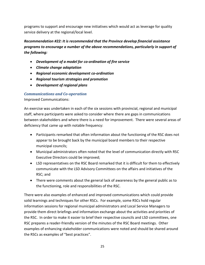programs to support and encourage new initiatives which would act as leverage for quality service delivery at the regional/local level.

*Recommendation #22: It is recommended that the Province develop financial assistance programs to encourage a number of the above recommendations, particularly in support of the following:*

- *Development of a model for co-ordination of fire service*
- *Climate change adaptation*
- *Regional economic development co-ordination*
- *Regional tourism strategies and promotion*
- *Development of regional plans*

# <span id="page-24-0"></span>*Communications and Co-operation*

Improved Communications:

An exercise was undertaken in each of the six sessions with provincial, regional and municipal staff, where participants were asked to consider where there are gaps in communications between stakeholders and where there is a need for improvement. There were several areas of deficiency that came up with notable frequency:

- Participants remarked that often information about the functioning of the RSC does not appear to be brought back by the municipal board members to their respective municipal councils;
- Municipal administrators often noted that the level of communication directly with RSC Executive Directors could be improved;
- LSD representatives on the RSC Board remarked that it is difficult for them to effectively communicate with the LSD Advisory Committees on the affairs and initiatives of the RSC; and
- There were comments about the general lack of awareness by the general public as to the functioning, role and responsibilities of the RSC.

There were also examples of enhanced and improved communications which could provide solid learnings and techniques for other RSCs. For example, some RSCs hold regular information sessions for regional municipal administrators and Local Service Managers to provide them direct briefings and information exchange about the activities and priorities of the RSC. In order to make it easier to brief their respective councils and LSD committees, one RSC prepares a reader-friendly version of the minutes of the RSC Board meetings. Other examples of enhancing stakeholder communications were noted and should be shared around the RSCs as examples of "best practices".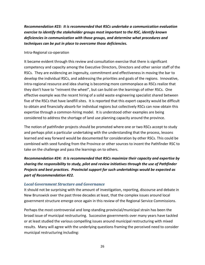*Recommendation #23: It is recommended that RSCs undertake a communication evaluation exercise to identify the stakeholder groups most important to the RSC, identify known deficiencies in communication with those groups, and determine what procedures and techniques can be put in place to overcome those deficiencies.*

#### Intra-Regional co-operation

It became evident through this review and consultation exercise that there is significant competency and capacity among the Executive Directors, Directors and other senior staff of the RSCs. They are evidencing an ingenuity, commitment and effectiveness in moving the bar to develop the individual RSCs, and addressing the priorities and goals of the regions. Innovative, intra-regional resource and idea sharing is becoming more commonplace as RSCs realize that they don't have to "reinvent the wheel", but can build on the learnings of other RSCs. One effective example was the recent hiring of a solid waste engineering specialist shared between five of the RSCs that have landfill sites. It is reported that this expert capacity would be difficult to obtain and financially absorb for individual regions but collectively RSCs can now obtain this expertise through a common-hiring model. It is understood other examples are being considered to address the shortage of land use planning capacity around the province.

The notion of pathfinder projects should be promoted where one or two RSCs accept to study and perhaps pilot a particular undertaking with the understanding that the process, lessons learned and way forward would be documented for consideration by other RSCs. This could be combined with seed funding from the Province or other sources to incent the Pathfinder RSC to take on the challenge and pass the learnings on to others.

*Recommendation #24: It is recommended that RSCs maximize their capacity and expertise by sharing the responsibility to study, pilot and review initiatives through the use of Pathfinder Projects and best practices. Provincial support for such undertakings would be expected as part of Recommendation #22.*

## <span id="page-25-0"></span>*Local Government Structure and Governance*

It should not be surprising with the amount of investigation, reporting, discourse and debate in New Brunswick over the past three decades at least, that the complex issues around local government structure emerge once again in this review of the Regional Service Commissions.

Perhaps the most controversial and long-standing provincial/municipal strain has been the broad issue of municipal restructuring. Successive governments over many years have tackled or at least studied the various compelling issues around municipal restructuring with mixed results. Many will agree with the underlying questions framing the perceived need to consider municipal restructuring including: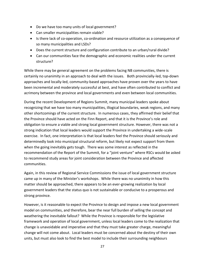- Do we have too many units of local government?
- Can smaller municipalities remain viable?
- Is there lack of co-operation, co-ordination and resource utilization as a consequence of so many municipalities and LSDs?
- Does the current structure and configuration contribute to an urban/rural divide?
- Can our communities face the demographic and economic realities under the current structure?

While there may be general agreement on the problems facing NB communities, there is certainly no unanimity in an approach to deal with the issues. Both provincially-led, top-down approaches and locally-led, community-based approaches have proven over the years to have been incremental and moderately successful at best, and have often contributed to conflict and acrimony between the province and local governments and even between local communities.

During the recent Development of Regions Summit, many municipal leaders spoke about recognizing that we have too many municipalities, illogical boundaries, weak regions, and many other shortcomings of the current structure. In numerous cases, they affirmed their belief that the Province should have acted on the Finn Report, and that it is the Province's role and obligation to ensure a viable and strong local government structure. However, there was not a strong indication that local leaders would support the Province in undertaking a wide-scale exercise. In fact, one interpretation is that local leaders feel the Province should seriously and determinedly look into municipal structural reform, but likely not expect support from them when the going inevitably gets tough. There was some interest as reflected in the recommendation of the Report of the Summit, for a "joint venture" where RSCs would be asked to recommend study areas for joint consideration between the Province and affected communities.

Again, in this review of Regional Service Commissions the issue of local government structure came up in many of the Minister's workshops. While there was no unanimity in how this matter should be approached, there appears to be an ever-growing realization by local government leaders that the status quo is not sustainable or conducive to a prosperous and strong province.

However, is it reasonable to expect the Province to design and impose a new local government model on communities, and therefore, bear the near full burden of selling the concept and weathering the inevitable fallout? While the Province is responsible for the legislative framework and operation of local government, unless local leaders come to the realization that change is unavoidable and imperative and that they must take greater charge, meaningful change will not come about. Local leaders must be concerned about the destiny of their own units, but must also look to find the best model to include their surrounding neighbours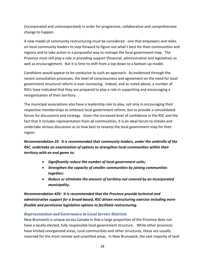(incorporated and unincorporated) in order for progressive, collaborative and comprehensive change to happen.

A new model of community restructuring must be considered - one that empowers and relies on local community leaders to step forward to figure out what's best for their communities and regions and to take action in a purposeful way to reshape the local government map. The Province must still play a role in providing support (financial, administrative and legislative) as well as encouragement. But it is time to shift from a top down to a bottom up model.

Conditions would appear to be conducive to such an approach. As evidenced through the recent consultation processes, the level of consciousness and agreement on the need for local government structural reform is ever-increasing. Indeed, and as noted above, a number of RSCs have indicated that they are prepared to play a role in supporting and encouraging a reorganization of their territory.

The municipal associations also have a leadership role to play, not only in encouraging their respective memberships to embrace local government reform, but to provide a consolidated forum for discussions and strategy. Given the increased level of confidence in the RSC and the fact that it includes representation from all communities, it is an ideal forum to initiate and undertake serious discussion as to how best to revamp the local government map for their region.

*Recommendation 25: It is recommended that community leaders, under the umbrella of the RSC, undertake an examination of options to strengthen local communities within their territory with an end game to:*

- *Significantly reduce the number of local government units;*
- *Strengthen the capacity of smaller communities by joining communities together;*
- *Reduce or eliminate the amount of territory not covered by an incorporated municipality.*

*Recommendation #26: It is recommended that the Province provide technical and administrative support for a broad-based, RSC-driven restructuring exercise including more flexible and permissive legislative options to facilitate restructuring.* 

# <span id="page-27-0"></span>*Representation and Governance in Local Service Districts*

New Brunswick is unique across Canada in that a large proportion of the Province does not have a locally elected, fully responsible local government structure. While other provinces have limited unorganized areas, rural communities and other structures, these are usually reserved for the most remote and unsettled areas. In New Brunswick, the vast majority of land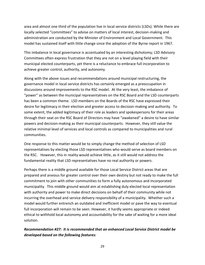area and almost one third of the population live in local service districts (LSDs). While there are locally selected "committees" to advise on matters of local interest, decision-making and administration are conducted by the Minister of Environment and Local Government. This model has sustained itself with little change since the adoption of the Byrne report in 1967.

This imbalance in local governance is accentuated by an interesting dichotomy; LSD Advisory Committees often express frustration that they are not on a level playing field with their municipal elected counterparts, yet there is a reluctance to embrace full incorporation to achieve greater control, authority, and autonomy.

Along with the above issues and recommendations around municipal restructuring, the governance model in local service districts has certainly emerged as a preoccupation in discussions around improvements to the RSC model. At the very least, the imbalance of "power" as between the municipal representatives on the RSC Board and the LSD counterparts has been a common theme. LSD members on the Boards of the RSC have expressed their desire for legitimacy in their election and greater access to decision-making and authority. To some extent, the added legitimacy of their role as leaders and spokespersons for their areas through their seat on the RSC Board of Directors may have "awakened" a desire to have similar powers and decision-making as their municipal counterparts. However, they still value the relative minimal level of services and local controls as compared to municipalities and rural communities.

One response to this matter would be to simply change the method of selection of LSD representatives by electing those LSD representatives who would serve as board members on the RSC. However, this in reality would achieve little, as it still would not address the fundamental reality that LSD representatives have no real authority or powers.

Perhaps there is a middle ground available for those Local Service District areas that are prepared and anxious for greater control over their own destiny but not ready to make the full commitment to join with other communities to form a fully autonomous and incorporated municipality. This middle ground would aim at establishing duly elected local representation with authority and power to make direct decisions on behalf of their community while not incurring the overhead and service delivery responsibility of a municipality. Whether such a model would further entrench an outdated and inefficient model or pave the way to eventual full incorporation will remain to be seen. However, it hardly seems appropriate or indeed ethical to withhold local autonomy and accountability for the sake of waiting for a more ideal solution.

# *Recommendation #27: It is recommended that an enhanced Local Service District model be developed based on the following features:*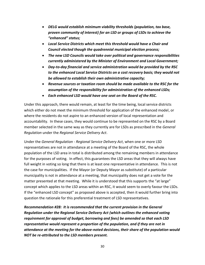- *DELG would establish minimum viability thresholds (population, tax base, proven community of interest) for an LSD or groups of LSDs to achieve the "enhanced" status;*
- *Local Service Districts which meet this threshold would have a Chair and Council elected though the quadrennial municipal election process;*
- *The new LSD Councils would take over political and governance responsibilities currently administered by the Minister of Environment and Local Government;*
- *Day-to-day financial and service administration would be provided by the RSC to the enhanced Local Service Districts on a cost recovery basis; they would not be allowed to establish their own administrative capacity;*
- *Revenue sources or taxation room should be made available to the RSC for the assumption of the responsibility for administration of the enhanced LSDs;*
- *Each enhanced LSD would have one seat on the Board of the RSC.*

Under this approach, there would remain, at least for the time being, local service districts which either do not meet the minimum threshold for application of the enhanced model, or where the residents do not aspire to an enhanced version of local representation and accountability. In these cases, they would continue to be represented on the RSC by a Board member selected in the same way as they currently are for LSDs as prescribed in the *General Regulation* under the *Regional Service Delivery Act*.

Under the *General Regulation - Regional Service Delivery Act*, when one or more LSD representatives are not in attendance at a meeting of the Board of the RSC, the whole population of the LSD area in total is distributed among the remaining members in attendance for the purposes of voting. In effect, this guarantees the LSD areas that they will always have full weight in voting so long that there is at least one representative in attendance. This is not the case for municipalities. If the Mayor (or Deputy Mayor as substitute) of a particular municipality is not in attendance at a meeting, that municipality does not get a vote for the matter presented at that meeting. While it is understood that this supports the "at large" concept which applies to the LSD areas within an RSC, it would seem to overly favour the LSDs. If the "enhanced LSD concept" as proposed above is accepted, then it would further bring into question the rationale for this preferential treatment of LSD representatives.

*Recommendation #28: It is recommended that the current provision in the General Regulation under the Regional Service Delivery Act (which outlines the enhanced voting requirement for approval of budget, borrowing and fees) be amended so that each LSD representative would represent a proportion of the population, and if they are not in attendance at the meeting for the above-noted decisions, their share of the population would NOT be re-attributed to the LSD members present.*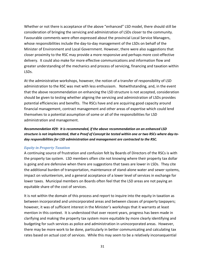Whether or not there is acceptance of the above "enhanced" LSD model, there should still be consideration of bringing the servicing and administration of LSDs closer to the community. Favourable comments were often expressed about the provincial Local Service Managers, whose responsibilities include the day-to-day management of the LSDs on behalf of the Minister of Environment and Local Government. However, there were also suggestions that closer proximity to the RSC may provide a more responsive and perhaps more cost-effective delivery. It could also make for more effective communications and information flow and greater understanding of the mechanics and process of servicing, financing and taxation within LSDs.

At the administrative workshops, however, the notion of a transfer of responsibility of LSD administration to the RSC was met with less enthusiasm. Notwithstanding, and, in the event that the above recommendation on enhancing the LSD structure is not accepted, consideration should be given to testing whether aligning the servicing and administration of LSDs provides potential efficiencies and benefits. The RSCs have and are acquiring good capacity around financial management, contract management and other areas of expertise which could lend themselves to a potential assumption of some or all of the responsibilities for LSD administration and management.

*Recommendation #29: It is recommended, if the above recommendation on an enhanced LSD structure is not implemented, that a Proof of Concept be tested within one or two RSCs where day-today responsibilities for LSD administration and management are contracted to the RSC.* 

#### *Equity in Property Taxation*

A continuing source of frustration and confusion felt by Boards of Directors of the RSCs is with the property tax system. LSD members often cite not knowing where their property tax dollar is going and are defensive when there are suggestions that taxes are lower in LSDs. They cite the additional burden of transportation, maintenance of stand-alone water and sewer systems, impact on volunteerism, and a general acceptance of a lower level of services in exchange for lower taxes. Municipal members on Boards often feel that the LSD areas are not paying an equitable share of the cost of services.

It is not within the domain of this process and report to inquire into the equity in taxation as between incorporated and unincorporated areas and between classes of property taxpayers; however, it was of sufficient interest in the Minister's workshops that it warrants at least mention in this context. It is understood that over recent years, progress has been made in clarifying and making the property tax system more equitable by more clearly identifying and budgeting for such services as police and administration in unincorporated areas. However, there may be more work to be done, particularly in better communicating and calculating tax rates based on actual cost of services. While this may seem to be a relatively inconsequential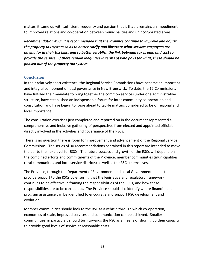matter, it came up with sufficient frequency and passion that it that it remains an impediment to improved relations and co-operation between municipalities and unincorporated areas.

*Recommendation #30: It is recommended that the Province continue to improve and adjust the property tax system so as to better clarify and illustrate what services taxpayers are paying for in their tax bills, and to better establish the link between taxes paid and cost to provide the service. If there remain inequities in terms of who pays for what, these should be phased out of the property tax system.*

## <span id="page-31-0"></span>**Conclusion**

In their relatively short existence, the Regional Service Commissions have become an important and integral component of local governance in New Brunswick. To date, the 12 Commissions have fulfilled their mandate to bring together the common services under one administrative structure, have established an indispensable forum for inter-community co-operation and consultation and have begun to forge ahead to tackle matters considered to be of regional and local importance.

The consultation exercises just completed and reported on in the document represented a comprehensive and inclusive gathering of perspectives from elected and appointed officials directly involved in the activities and governance of the RSCs.

There is no question there is room for improvement and advancement of the Regional Service Commissions. The series of 30 recommendations contained in this report are intended to move the bar to the next level for RSCs. The future success and growth of the RSCs will depend on the combined efforts and commitments of the Province, member communities (municipalities, rural communities and local service districts) as well as the RSCs themselves.

The Province, through the Department of Environment and Local Government, needs to provide support to the RSCs by ensuring that the legislative and regulatory framework continues to be effective in framing the responsibilities of the RSCs, and how these responsibilities are to be carried out. The Province should also identify where financial and program assistance can be identified to encourage and support RSC development and evolution.

Member communities should look to the RSC as a vehicle through which co-operation, economies of scale, improved services and communication can be achieved. Smaller communities, in particular, should turn towards the RSC as a means of shoring up their capacity to provide good levels of service at reasonable costs.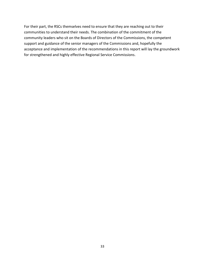For their part, the RSCs themselves need to ensure that they are reaching out to their communities to understand their needs. The combination of the commitment of the community leaders who sit on the Boards of Directors of the Commissions, the competent support and guidance of the senior managers of the Commissions and, hopefully the acceptance and implementation of the recommendations in this report will lay the groundwork for strengthened and highly effective Regional Service Commissions.